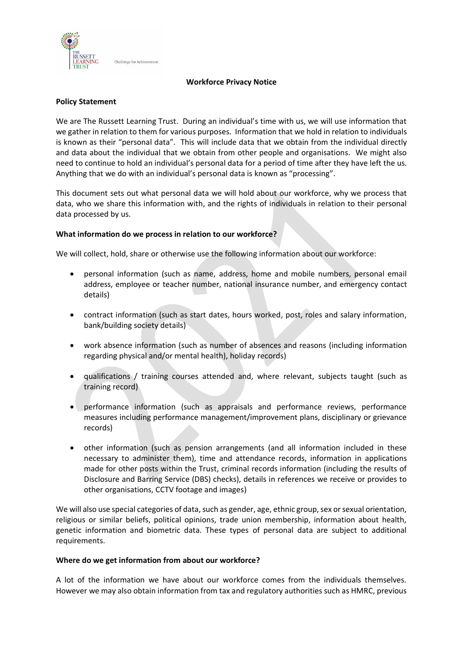

### **Workforce Privacy Notice**

### **Policy Statement**

We are The Russett Learning Trust. During an individual's time with us, we will use information that we gather in relation to them for various purposes. Information that we hold in relation to individuals is known as their "personal data". This will include data that we obtain from the individual directly and data about the individual that we obtain from other people and organisations. We might also need to continue to hold an individual's personal data for a period of time after they have left the us. Anything that we do with an individual's personal data is known as "processing".

This document sets out what personal data we will hold about our workforce, why we process that data, who we share this information with, and the rights of individuals in relation to their personal data processed by us.

### **What information do we process in relation to our workforce?**

We will collect, hold, share or otherwise use the following information about our workforce:

- personal information (such as name, address, home and mobile numbers, personal email address, employee or teacher number, national insurance number, and emergency contact details)
- contract information (such as start dates, hours worked, post, roles and salary information, bank/building society details)
- work absence information (such as number of absences and reasons (including information regarding physical and/or mental health), holiday records)
- qualifications / training courses attended and, where relevant, subjects taught (such as training record)
- performance information (such as appraisals and performance reviews, performance measures including performance management/improvement plans, disciplinary or grievance records)
- other information (such as pension arrangements (and all information included in these necessary to administer them), time and attendance records, information in applications made for other posts within the Trust, criminal records information (including the results of Disclosure and Barring Service (DBS) checks), details in references we receive or provides to other organisations, CCTV footage and images)

We will also use special categories of data, such as gender, age, ethnic group, sex or sexual orientation, religious or similar beliefs, political opinions, trade union membership, information about health, genetic information and biometric data. These types of personal data are subject to additional requirements.

#### **Where do we get information from about our workforce?**

A lot of the information we have about our workforce comes from the individuals themselves. However we may also obtain information from tax and regulatory authorities such as HMRC, previous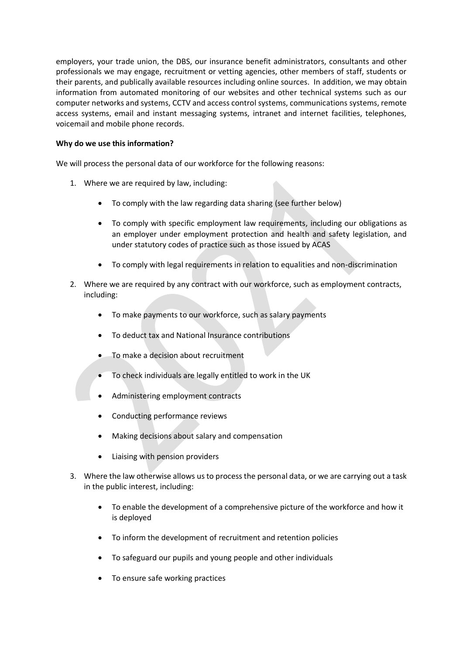employers, your trade union, the DBS, our insurance benefit administrators, consultants and other professionals we may engage, recruitment or vetting agencies, other members of staff, students or their parents, and publically available resources including online sources. In addition, we may obtain information from automated monitoring of our websites and other technical systems such as our computer networks and systems, CCTV and access control systems, communications systems, remote access systems, email and instant messaging systems, intranet and internet facilities, telephones, voicemail and mobile phone records.

## **Why do we use this information?**

We will process the personal data of our workforce for the following reasons:

- 1. Where we are required by law, including:
	- To comply with the law regarding data sharing (see further below)
	- To comply with specific employment law requirements, including our obligations as an employer under employment protection and health and safety legislation, and under statutory codes of practice such as those issued by ACAS
	- To comply with legal requirements in relation to equalities and non-discrimination
- 2. Where we are required by any contract with our workforce, such as employment contracts, including:
	- To make payments to our workforce, such as salary payments
	- To deduct tax and National Insurance contributions
	- To make a decision about recruitment
	- To check individuals are legally entitled to work in the UK
	- Administering employment contracts
	- Conducting performance reviews
	- Making decisions about salary and compensation
	- Liaising with pension providers
- 3. Where the law otherwise allows us to process the personal data, or we are carrying out a task in the public interest, including:
	- To enable the development of a comprehensive picture of the workforce and how it is deployed
	- To inform the development of recruitment and retention policies
	- To safeguard our pupils and young people and other individuals
	- To ensure safe working practices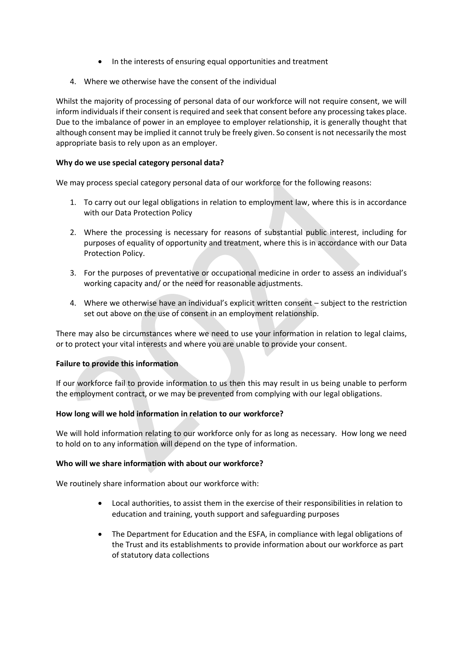- In the interests of ensuring equal opportunities and treatment
- 4. Where we otherwise have the consent of the individual

Whilst the majority of processing of personal data of our workforce will not require consent, we will inform individualsif their consent is required and seek that consent before any processing takes place. Due to the imbalance of power in an employee to employer relationship, it is generally thought that although consent may be implied it cannot truly be freely given. So consent is not necessarily the most appropriate basis to rely upon as an employer.

# **Why do we use special category personal data?**

We may process special category personal data of our workforce for the following reasons:

- 1. To carry out our legal obligations in relation to employment law, where this is in accordance with our Data Protection Policy
- 2. Where the processing is necessary for reasons of substantial public interest, including for purposes of equality of opportunity and treatment, where this is in accordance with our Data Protection Policy.
- 3. For the purposes of preventative or occupational medicine in order to assess an individual's working capacity and/ or the need for reasonable adjustments.
- 4. Where we otherwise have an individual's explicit written consent subject to the restriction set out above on the use of consent in an employment relationship.

There may also be circumstances where we need to use your information in relation to legal claims, or to protect your vital interests and where you are unable to provide your consent.

### **Failure to provide this information**

If our workforce fail to provide information to us then this may result in us being unable to perform the employment contract, or we may be prevented from complying with our legal obligations.

### **How long will we hold information in relation to our workforce?**

We will hold information relating to our workforce only for as long as necessary. How long we need to hold on to any information will depend on the type of information.

### **Who will we share information with about our workforce?**

We routinely share information about our workforce with:

- Local authorities, to assist them in the exercise of their responsibilities in relation to education and training, youth support and safeguarding purposes
- The Department for Education and the ESFA, in compliance with legal obligations of the Trust and its establishments to provide information about our workforce as part of statutory data collections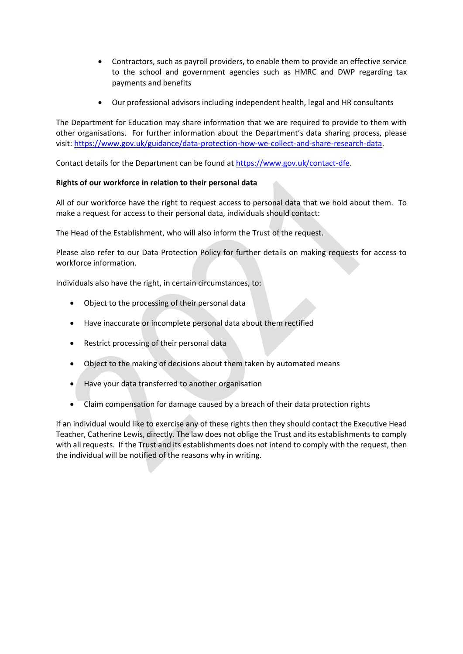- Contractors, such as payroll providers, to enable them to provide an effective service to the school and government agencies such as HMRC and DWP regarding tax payments and benefits
- Our professional advisors including independent health, legal and HR consultants

The Department for Education may share information that we are required to provide to them with other organisations. For further information about the Department's data sharing process, please visit: [https://www.gov.uk/guidance/data-protection-how-we-collect-and-share-research-data.](https://www.gov.uk/guidance/data-protection-how-we-collect-and-share-research-data)

Contact details for the Department can be found at [https://www.gov.uk/contact-dfe.](https://www.gov.uk/contact-dfe)

# **Rights of our workforce in relation to their personal data**

All of our workforce have the right to request access to personal data that we hold about them. To make a request for access to their personal data, individuals should contact:

The Head of the Establishment, who will also inform the Trust of the request.

Please also refer to our Data Protection Policy for further details on making requests for access to workforce information.

Individuals also have the right, in certain circumstances, to:

- Object to the processing of their personal data
- Have inaccurate or incomplete personal data about them rectified
- Restrict processing of their personal data
- Object to the making of decisions about them taken by automated means
- Have your data transferred to another organisation
- Claim compensation for damage caused by a breach of their data protection rights

If an individual would like to exercise any of these rights then they should contact the Executive Head Teacher, Catherine Lewis, directly. The law does not oblige the Trust and its establishments to comply with all requests. If the Trust and its establishments does not intend to comply with the request, then the individual will be notified of the reasons why in writing.